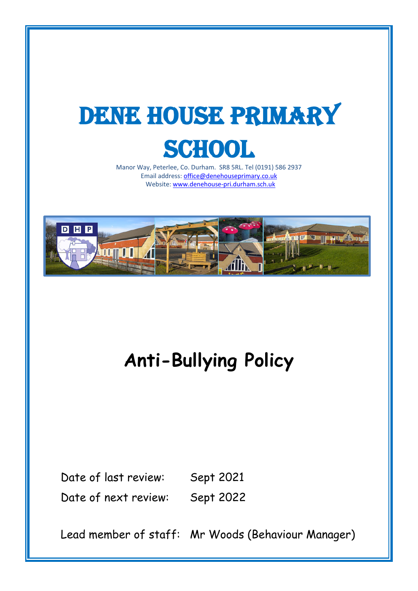# DENE HOUSE PRIMARY **SCHOOL**

Manor Way, Peterlee, Co. Durham. SR8 5RL. Tel (0191) 586 2937 Email address[: office@denehouseprimary.co.uk](mailto:office@denehouseprimary.co.uk) Website[: www.denehouse-pri.durham.sch.uk](http://www.denehouse-pri.durham.sch.uk/)



**Anti-Bullying Policy**

Date of last review: Sept 2021 Date of next review: Sept 2022

Lead member of staff: Mr Woods (Behaviour Manager)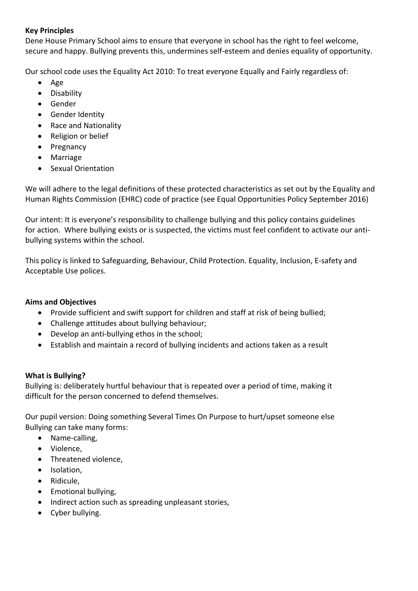### **Key Principles**

Dene House Primary School aims to ensure that everyone in school has the right to feel welcome, secure and happy. Bullying prevents this, undermines self-esteem and denies equality of opportunity.

Our school code uses the Equality Act 2010: To treat everyone Equally and Fairly regardless of:

- Age
- Disability
- Gender
- Gender Identity
- Race and Nationality
- Religion or belief
- Pregnancy
- Marriage
- Sexual Orientation

We will adhere to the legal definitions of these protected characteristics as set out by the Equality and Human Rights Commission (EHRC) code of practice (see Equal Opportunities Policy September 2016)

Our intent: It is everyone's responsibility to challenge bullying and this policy contains guidelines for action. Where bullying exists or is suspected, the victims must feel confident to activate our antibullying systems within the school.

This policy is linked to Safeguarding, Behaviour, Child Protection. Equality, Inclusion, E-safety and Acceptable Use polices.

#### **Aims and Objectives**

- Provide sufficient and swift support for children and staff at risk of being bullied;
- Challenge attitudes about bullying behaviour;
- Develop an anti-bullying ethos in the school;
- Establish and maintain a record of bullying incidents and actions taken as a result

#### **What is Bullying?**

Bullying is: deliberately hurtful behaviour that is repeated over a period of time, making it difficult for the person concerned to defend themselves.

Our pupil version: Doing something Several Times On Purpose to hurt/upset someone else Bullying can take many forms:

- Name-calling,
- Violence,
- Threatened violence,
- Isolation,
- Ridicule,
- Emotional bullying,
- Indirect action such as spreading unpleasant stories,
- Cyber bullying.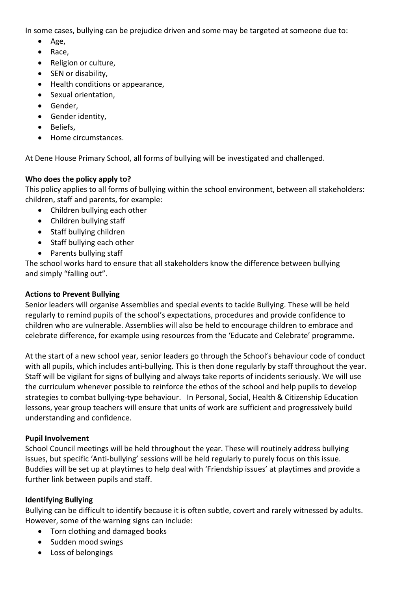In some cases, bullying can be prejudice driven and some may be targeted at someone due to:

- Age,
- Race,
- Religion or culture,
- SEN or disability,
- Health conditions or appearance,
- Sexual orientation,
- Gender,
- Gender identity,
- Beliefs,
- Home circumstances.

At Dene House Primary School, all forms of bullying will be investigated and challenged.

#### **Who does the policy apply to?**

This policy applies to all forms of bullying within the school environment, between all stakeholders: children, staff and parents, for example:

- Children bullying each other
- Children bullying staff
- Staff bullying children
- Staff bullying each other
- Parents bullying staff

The school works hard to ensure that all stakeholders know the difference between bullying and simply "falling out".

#### **Actions to Prevent Bullying**

Senior leaders will organise Assemblies and special events to tackle Bullying. These will be held regularly to remind pupils of the school's expectations, procedures and provide confidence to children who are vulnerable. Assemblies will also be held to encourage children to embrace and celebrate difference, for example using resources from the 'Educate and Celebrate' programme.

At the start of a new school year, senior leaders go through the School's behaviour code of conduct with all pupils, which includes anti-bullying. This is then done regularly by staff throughout the year. Staff will be vigilant for signs of bullying and always take reports of incidents seriously. We will use the curriculum whenever possible to reinforce the ethos of the school and help pupils to develop strategies to combat bullying-type behaviour. In Personal, Social, Health & Citizenship Education lessons, year group teachers will ensure that units of work are sufficient and progressively build understanding and confidence.

#### **Pupil Involvement**

School Council meetings will be held throughout the year. These will routinely address bullying issues, but specific 'Anti-bullying' sessions will be held regularly to purely focus on this issue. Buddies will be set up at playtimes to help deal with 'Friendship issues' at playtimes and provide a further link between pupils and staff.

#### **Identifying Bullying**

Bullying can be difficult to identify because it is often subtle, covert and rarely witnessed by adults. However, some of the warning signs can include:

- Torn clothing and damaged books
- Sudden mood swings
- Loss of belongings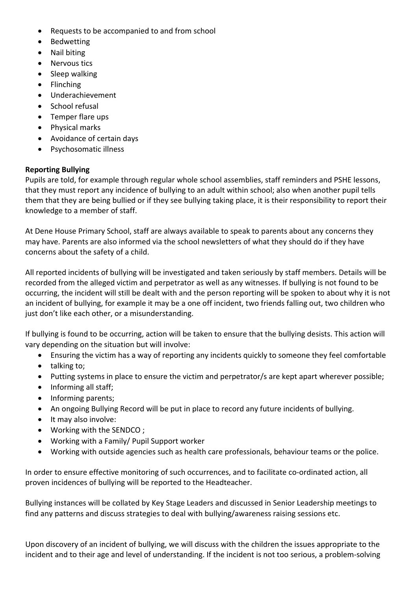- Requests to be accompanied to and from school
- Bedwetting
- Nail biting
- Nervous tics
- Sleep walking
- Flinching
- Underachievement
- School refusal
- Temper flare ups
- Physical marks
- Avoidance of certain days
- Psychosomatic illness

#### **Reporting Bullying**

Pupils are told, for example through regular whole school assemblies, staff reminders and PSHE lessons, that they must report any incidence of bullying to an adult within school; also when another pupil tells them that they are being bullied or if they see bullying taking place, it is their responsibility to report their knowledge to a member of staff.

At Dene House Primary School, staff are always available to speak to parents about any concerns they may have. Parents are also informed via the school newsletters of what they should do if they have concerns about the safety of a child.

All reported incidents of bullying will be investigated and taken seriously by staff members. Details will be recorded from the alleged victim and perpetrator as well as any witnesses. If bullying is not found to be occurring, the incident will still be dealt with and the person reporting will be spoken to about why it is not an incident of bullying, for example it may be a one off incident, two friends falling out, two children who just don't like each other, or a misunderstanding.

If bullying is found to be occurring, action will be taken to ensure that the bullying desists. This action will vary depending on the situation but will involve:

- Ensuring the victim has a way of reporting any incidents quickly to someone they feel comfortable
- talking to;
- Putting systems in place to ensure the victim and perpetrator/s are kept apart wherever possible;
- Informing all staff;
- Informing parents;
- An ongoing Bullying Record will be put in place to record any future incidents of bullying.
- It may also involve:
- Working with the SENDCO ;
- Working with a Family/ Pupil Support worker
- Working with outside agencies such as health care professionals, behaviour teams or the police.

In order to ensure effective monitoring of such occurrences, and to facilitate co-ordinated action, all proven incidences of bullying will be reported to the Headteacher.

Bullying instances will be collated by Key Stage Leaders and discussed in Senior Leadership meetings to find any patterns and discuss strategies to deal with bullying/awareness raising sessions etc.

Upon discovery of an incident of bullying, we will discuss with the children the issues appropriate to the incident and to their age and level of understanding. If the incident is not too serious, a problem-solving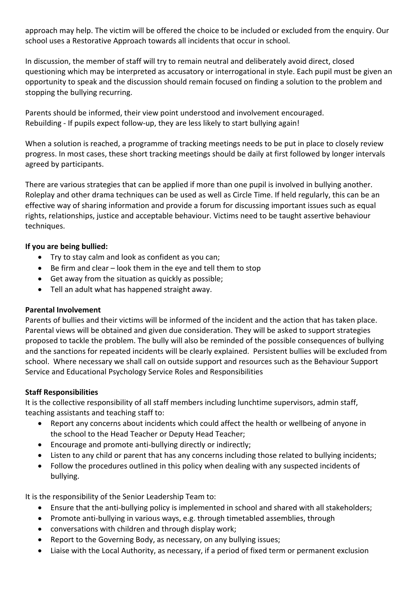approach may help. The victim will be offered the choice to be included or excluded from the enquiry. Our school uses a Restorative Approach towards all incidents that occur in school.

In discussion, the member of staff will try to remain neutral and deliberately avoid direct, closed questioning which may be interpreted as accusatory or interrogational in style. Each pupil must be given an opportunity to speak and the discussion should remain focused on finding a solution to the problem and stopping the bullying recurring.

Parents should be informed, their view point understood and involvement encouraged. Rebuilding - If pupils expect follow-up, they are less likely to start bullying again!

When a solution is reached, a programme of tracking meetings needs to be put in place to closely review progress. In most cases, these short tracking meetings should be daily at first followed by longer intervals agreed by participants.

There are various strategies that can be applied if more than one pupil is involved in bullying another. Roleplay and other drama techniques can be used as well as Circle Time. If held regularly, this can be an effective way of sharing information and provide a forum for discussing important issues such as equal rights, relationships, justice and acceptable behaviour. Victims need to be taught assertive behaviour techniques.

## **If you are being bullied:**

- Try to stay calm and look as confident as you can;
- Be firm and clear look them in the eye and tell them to stop
- Get away from the situation as quickly as possible;
- Tell an adult what has happened straight away.

#### **Parental Involvement**

Parents of bullies and their victims will be informed of the incident and the action that has taken place. Parental views will be obtained and given due consideration. They will be asked to support strategies proposed to tackle the problem. The bully will also be reminded of the possible consequences of bullying and the sanctions for repeated incidents will be clearly explained. Persistent bullies will be excluded from school. Where necessary we shall call on outside support and resources such as the Behaviour Support Service and Educational Psychology Service Roles and Responsibilities

#### **Staff Responsibilities**

It is the collective responsibility of all staff members including lunchtime supervisors, admin staff, teaching assistants and teaching staff to:

- Report any concerns about incidents which could affect the health or wellbeing of anyone in the school to the Head Teacher or Deputy Head Teacher;
- Encourage and promote anti-bullying directly or indirectly;
- Listen to any child or parent that has any concerns including those related to bullying incidents;
- Follow the procedures outlined in this policy when dealing with any suspected incidents of bullying.

It is the responsibility of the Senior Leadership Team to:

- Ensure that the anti-bullying policy is implemented in school and shared with all stakeholders;
- Promote anti-bullying in various ways, e.g. through timetabled assemblies, through
- conversations with children and through display work;
- Report to the Governing Body, as necessary, on any bullying issues;
- Liaise with the Local Authority, as necessary, if a period of fixed term or permanent exclusion